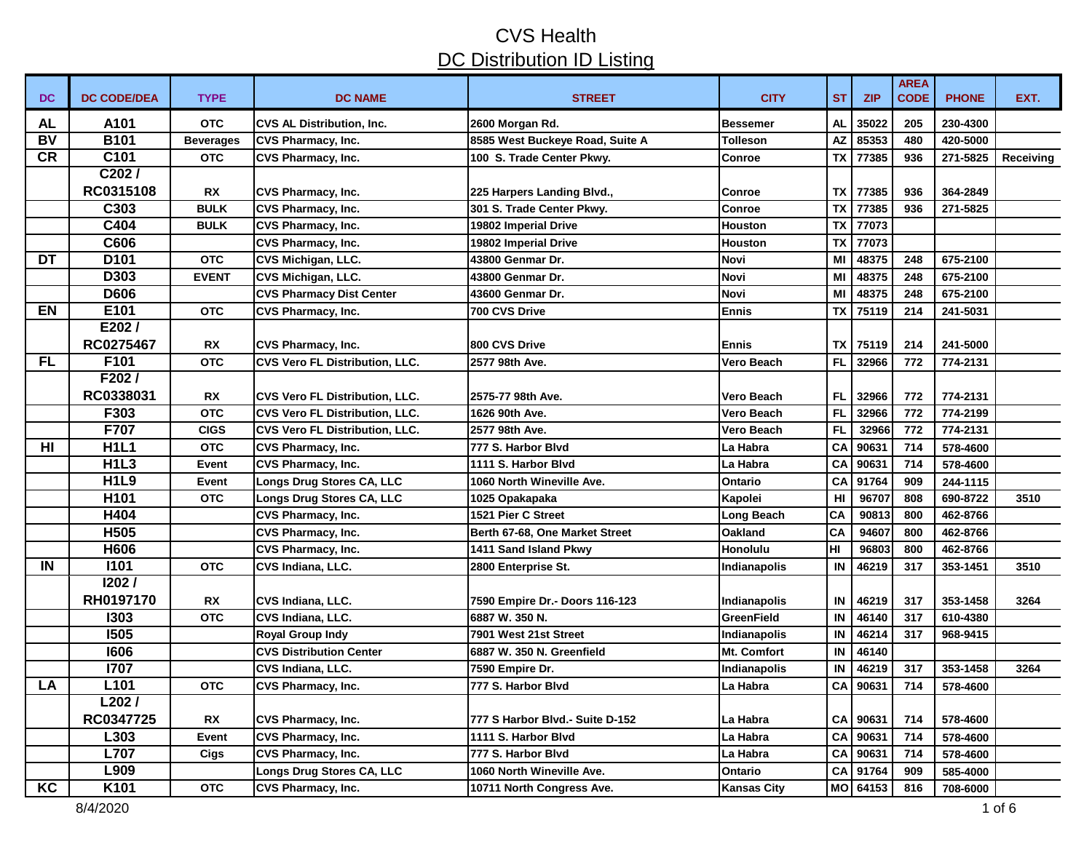| DC        | <b>DC CODE/DEA</b> | <b>TYPE</b>      | <b>DC NAME</b>                        | <b>STREET</b>                   | <b>CITY</b>        | <b>ST</b> | <b>ZIP</b> | <b>AREA</b><br><b>CODE</b> | <b>PHONE</b> | EXT.      |
|-----------|--------------------|------------------|---------------------------------------|---------------------------------|--------------------|-----------|------------|----------------------------|--------------|-----------|
| AL        | A101               | <b>OTC</b>       | <b>CVS AL Distribution, Inc.</b>      | 2600 Morgan Rd.                 | <b>Bessemer</b>    | AL        | 35022      | 205                        | 230-4300     |           |
| <b>BV</b> | <b>B101</b>        | <b>Beverages</b> | <b>CVS Pharmacy, Inc.</b>             | 8585 West Buckeye Road, Suite A | <b>Tolleson</b>    | <b>AZ</b> | 85353      | 480                        | 420-5000     |           |
| <b>CR</b> | C101               | <b>OTC</b>       | CVS Pharmacy, Inc.                    | 100 S. Trade Center Pkwy.       | <b>Conroe</b>      | TX        | 77385      | 936                        | 271-5825     | Receiving |
|           | C202/              |                  |                                       |                                 |                    |           |            |                            |              |           |
|           | RC0315108          | <b>RX</b>        | <b>CVS Pharmacy, Inc.</b>             | 225 Harpers Landing Blvd.,      | <b>Conroe</b>      | TX        | 77385      | 936                        | 364-2849     |           |
|           | C303               | <b>BULK</b>      | CVS Pharmacy, Inc.                    | 301 S. Trade Center Pkwy.       | Conroe             | <b>TX</b> | 77385      | 936                        | 271-5825     |           |
|           | C404               | <b>BULK</b>      | <b>CVS Pharmacy, Inc.</b>             | 19802 Imperial Drive            | Houston            | <b>TX</b> | 77073      |                            |              |           |
|           | C606               |                  | <b>CVS Pharmacy, Inc.</b>             | 19802 Imperial Drive            | <b>Houston</b>     | TX        | 77073      |                            |              |           |
| DT        | D <sub>101</sub>   | <b>OTC</b>       | CVS Michigan, LLC.                    | 43800 Genmar Dr.                | Novi               | MI        | 48375      | 248                        | 675-2100     |           |
|           | D303               | <b>EVENT</b>     | <b>CVS Michigan, LLC.</b>             | 43800 Genmar Dr.                | Novi               | MI        | 48375      | 248                        | 675-2100     |           |
|           | <b>D606</b>        |                  | <b>CVS Pharmacy Dist Center</b>       | 43600 Genmar Dr.                | Novi               | MI        | 48375      | 248                        | 675-2100     |           |
| EN        | E101               | <b>OTC</b>       | <b>CVS Pharmacy, Inc.</b>             | 700 CVS Drive                   | <b>Ennis</b>       | <b>TX</b> | 75119      | 214                        | 241-5031     |           |
|           | E202/              |                  |                                       |                                 |                    |           |            |                            |              |           |
|           | RC0275467          | <b>RX</b>        | <b>CVS Pharmacy, Inc.</b>             | 800 CVS Drive                   | <b>IEnnis</b>      | <b>TX</b> | 75119      | 214                        | 241-5000     |           |
| FL        | F101               | <b>OTC</b>       | CVS Vero FL Distribution, LLC.        | 2577 98th Ave.                  | Vero Beach         | FL        | 32966      | 772                        | 774-2131     |           |
|           | F202/              |                  |                                       |                                 |                    |           |            |                            |              |           |
|           | RC0338031          | <b>RX</b>        | <b>CVS Vero FL Distribution, LLC.</b> | 2575-77 98th Ave.               | Vero Beach         | <b>FL</b> | 32966      | 772                        | 774-2131     |           |
|           | F303               | <b>OTC</b>       | <b>CVS Vero FL Distribution, LLC.</b> | 1626 90th Ave.                  | Vero Beach         | FL        | 32966      | 772                        | 774-2199     |           |
|           | F707               | <b>CIGS</b>      | <b>CVS Vero FL Distribution, LLC.</b> | 2577 98th Ave.                  | Vero Beach         | <b>FL</b> | 32966      | 772                        | 774-2131     |           |
| HI        | <b>H1L1</b>        | <b>OTC</b>       | CVS Pharmacy, Inc.                    | 777 S. Harbor Blvd              | La Habra           | CA        | 90631      | 714                        | 578-4600     |           |
|           | <b>H1L3</b>        | Event            | CVS Pharmacy, Inc.                    | 1111 S. Harbor Blvd             | La Habra           | CA        | 90631      | 714                        | 578-4600     |           |
|           | <b>H1L9</b>        | Event            | Longs Drug Stores CA, LLC             | 1060 North Wineville Ave.       | <b>Ontario</b>     | CA        | 91764      | 909                        | 244-1115     |           |
|           | H <sub>101</sub>   | <b>OTC</b>       | Longs Drug Stores CA, LLC             | 1025 Opakapaka                  | Kapolei            | HI        | 96707      | 808                        | 690-8722     | 3510      |
|           | H404               |                  | CVS Pharmacy, Inc.                    | 1521 Pier C Street              | <b>Long Beach</b>  | CA        | 90813      | 800                        | 462-8766     |           |
|           | H <sub>505</sub>   |                  | <b>CVS Pharmacy, Inc.</b>             | Berth 67-68, One Market Street  | Oakland            | CA        | 94607      | 800                        | 462-8766     |           |
|           | H606               |                  | <b>CVS Pharmacy, Inc.</b>             | 1411 Sand Island Pkwy           | Honolulu           | ŀШ        | 96803      | 800                        | 462-8766     |           |
| IN        | <b>I101</b>        | <b>OTC</b>       | CVS Indiana, LLC.                     | 2800 Enterprise St.             | Indianapolis       | IN        | 46219      | 317                        | 353-1451     | 3510      |
|           | 1202/              |                  |                                       |                                 |                    |           |            |                            |              |           |
|           | RH0197170          | <b>RX</b>        | CVS Indiana, LLC.                     | 7590 Empire Dr.- Doors 116-123  | Indianapolis       | IN        | 46219      | 317                        | 353-1458     | 3264      |
|           | 1303               | <b>OTC</b>       | CVS Indiana, LLC.                     | 6887 W. 350 N.                  | <b>GreenField</b>  | IN        | 46140      | 317                        | 610-4380     |           |
|           | <b>1505</b>        |                  | <b>Royal Group Indy</b>               | 7901 West 21st Street           | Indianapolis       | IN        | 46214      | 317                        | 968-9415     |           |
|           | 1606               |                  | <b>CVS Distribution Center</b>        | 6887 W. 350 N. Greenfield       | Mt. Comfort        | IN        | 46140      |                            |              |           |
|           | 1707               |                  | CVS Indiana, LLC.                     | 7590 Empire Dr.                 | Indianapolis       | IN        | 46219      | 317                        | 353-1458     | 3264      |
| <b>LA</b> | L <sub>101</sub>   | <b>OTC</b>       | <b>CVS Pharmacy, Inc.</b>             | 777 S. Harbor Blvd              | La Habra           | CA        | 90631      | 714                        | 578-4600     |           |
|           | L202/              |                  |                                       |                                 |                    |           |            |                            |              |           |
|           | RC0347725          | <b>RX</b>        | CVS Pharmacy, Inc.                    | 777 S Harbor Blvd.- Suite D-152 | La Habra           |           | CA 90631   | 714                        | 578-4600     |           |
|           | L303               | Event            | CVS Pharmacy, Inc.                    | 1111 S. Harbor Blvd             | La Habra           |           | CA 90631   | 714                        | 578-4600     |           |
|           | <b>L707</b>        | Cigs             | CVS Pharmacy, Inc.                    | 777 S. Harbor Blvd              | La Habra           |           | CA 90631   | 714                        | 578-4600     |           |
|           | L909               |                  | Longs Drug Stores CA, LLC             | 1060 North Wineville Ave.       | <b>Ontario</b>     |           | CA 91764   | 909                        | 585-4000     |           |
| KC        | K101               | <b>OTC</b>       | CVS Pharmacy, Inc.                    | 10711 North Congress Ave.       | <b>Kansas City</b> |           | MO 64153   | 816                        | 708-6000     |           |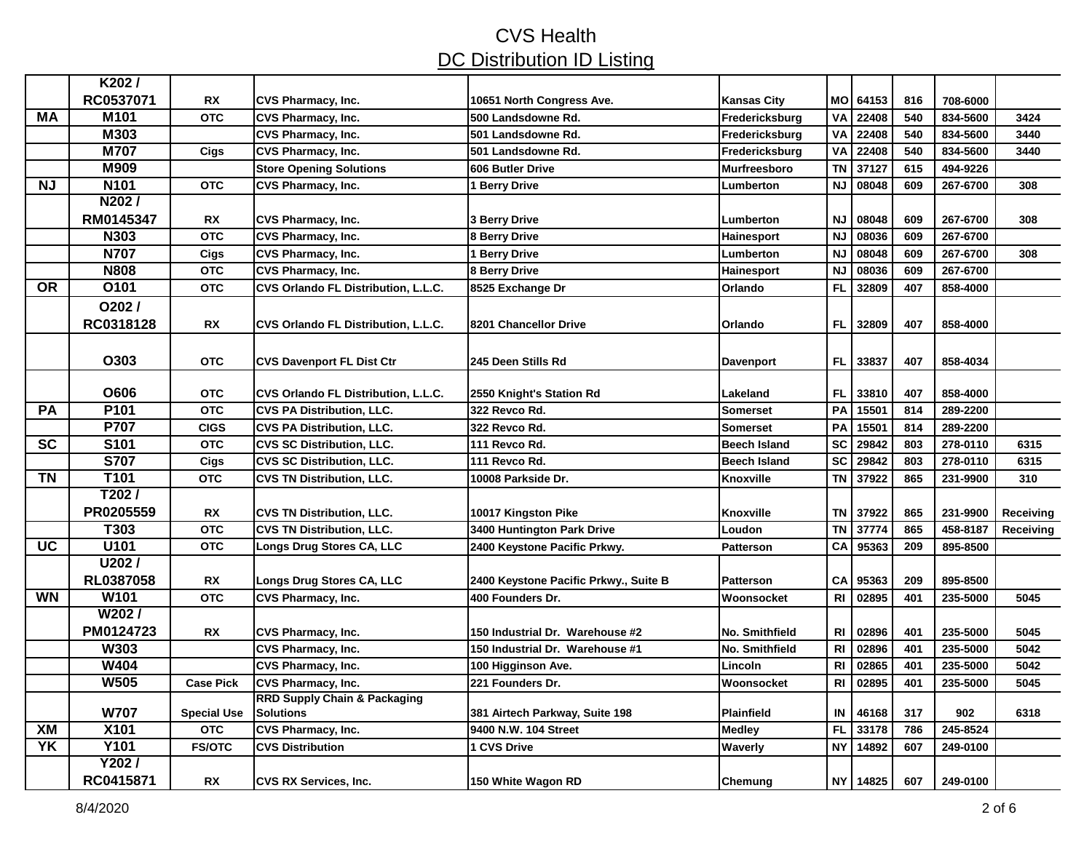|                 | K202/<br>RC0537071 |                         |                                                             |                                                 |                               |                |                |            |                      |           |
|-----------------|--------------------|-------------------------|-------------------------------------------------------------|-------------------------------------------------|-------------------------------|----------------|----------------|------------|----------------------|-----------|
| МA              | M <sub>101</sub>   | <b>RX</b><br><b>OTC</b> | <b>CVS Pharmacy, Inc.</b><br><b>CVS Pharmacy, Inc.</b>      | 10651 North Congress Ave.<br>500 Landsdowne Rd. | Kansas City<br>Fredericksburg | MO<br>VA       | 64153<br>22408 | 816<br>540 | 708-6000<br>834-5600 | 3424      |
|                 | M303               |                         | <b>CVS Pharmacy, Inc.</b>                                   | 501 Landsdowne Rd.                              | Fredericksburg                | VA             | 22408          | 540        | 834-5600             | 3440      |
|                 | <b>M707</b>        | Cigs                    | <b>CVS Pharmacy, Inc.</b>                                   | 501 Landsdowne Rd.                              | Fredericksburg                | VA             | 22408          | 540        | 834-5600             | 3440      |
|                 | <b>M909</b>        |                         | <b>Store Opening Solutions</b>                              | 606 Butler Drive                                | Murfreesboro                  | <b>TN</b>      | 37127          | 615        | 494-9226             |           |
| ΝJ              | N <sub>101</sub>   | <b>OTC</b>              | CVS Pharmacy, Inc.                                          | 1 Berry Drive                                   | Lumberton                     | <b>NJ</b>      | 08048          | 609        | 267-6700             | 308       |
|                 | N202/              |                         |                                                             |                                                 |                               |                |                |            |                      |           |
|                 | RM0145347          | <b>RX</b>               | <b>CVS Pharmacy, Inc.</b>                                   | 3 Berry Drive                                   | Lumberton                     | <b>NJ</b>      | 08048          | 609        | 267-6700             | 308       |
|                 | N303               | <b>OTC</b>              | <b>CVS Pharmacy, Inc.</b>                                   | 8 Berry Drive                                   | Hainesport                    | <b>NJ</b>      | 08036          | 609        | 267-6700             |           |
|                 | <b>N707</b>        | Cigs                    | <b>CVS Pharmacy, Inc.</b>                                   | 1 Berry Drive                                   | Lumberton                     | <b>NJ</b>      | 08048          | 609        | 267-6700             | 308       |
|                 | <b>N808</b>        | <b>OTC</b>              | <b>CVS Pharmacy, Inc.</b>                                   | 8 Berry Drive                                   | <b>Hainesport</b>             | <b>NJ</b>      | 08036          | 609        | 267-6700             |           |
| <b>OR</b>       | O101               | <b>OTC</b>              | CVS Orlando FL Distribution, L.L.C.                         | 8525 Exchange Dr                                | Orlando                       | <b>FL</b>      | 32809          | 407        | 858-4000             |           |
|                 | $O202$ /           |                         |                                                             |                                                 |                               |                |                |            |                      |           |
|                 | RC0318128          | <b>RX</b>               | CVS Orlando FL Distribution, L.L.C.                         | 8201 Chancellor Drive                           | Orlando                       | <b>FL</b>      | 32809          | 407        | 858-4000             |           |
|                 |                    |                         |                                                             |                                                 |                               |                |                |            |                      |           |
|                 | O303               | <b>OTC</b>              | <b>CVS Davenport FL Dist Ctr</b>                            | 245 Deen Stills Rd                              | <b>Davenport</b>              | FL.            | 33837          | 407        | 858-4034             |           |
|                 |                    |                         |                                                             |                                                 |                               |                |                |            |                      |           |
|                 | O606               | <b>OTC</b>              | CVS Orlando FL Distribution, L.L.C.                         | 2550 Knight's Station Rd                        | Lakeland                      | FL             | 33810          | 407        | 858-4000             |           |
| <b>PA</b>       | P <sub>101</sub>   | <b>OTC</b>              | <b>CVS PA Distribution, LLC.</b>                            | 322 Revco Rd.                                   | <b>Somerset</b>               | PA             | 15501          | 814        | 289-2200             |           |
|                 | P707               | <b>CIGS</b>             | <b>CVS PA Distribution, LLC.</b>                            | 322 Revco Rd.                                   | <b>Somerset</b>               | PA             | 15501          | 814        | 289-2200             |           |
| $\overline{SC}$ | S101               | <b>OTC</b>              | <b>CVS SC Distribution, LLC.</b>                            | 111 Revco Rd.                                   | <b>Beech Island</b>           | <b>SC</b>      | 29842          | 803        | 278-0110             | 6315      |
|                 | <b>S707</b>        | Cigs                    | <b>CVS SC Distribution, LLC.</b>                            | 111 Revco Rd.                                   | <b>Beech Island</b>           | <b>SC</b>      | 29842          | 803        | 278-0110             | 6315      |
| <b>TN</b>       | T101               | <b>OTC</b>              | <b>CVS TN Distribution, LLC.</b>                            | 10008 Parkside Dr.                              | Knoxville                     | <b>TN</b>      | 37922          | 865        | 231-9900             | 310       |
|                 | T202/              |                         |                                                             |                                                 |                               |                |                |            |                      |           |
|                 | PR0205559          | <b>RX</b>               | <b>CVS TN Distribution, LLC.</b>                            | 10017 Kingston Pike                             | <b>Knoxville</b>              | <b>TN</b>      | 37922          | 865        | 231-9900             | Receiving |
|                 | T303               | <b>OTC</b>              | <b>CVS TN Distribution, LLC.</b>                            | 3400 Huntington Park Drive                      | Loudon                        | <b>TN</b>      | 37774          | 865        | 458-8187             | Receiving |
| UC              | U101               | <b>OTC</b>              | <b>Longs Drug Stores CA, LLC</b>                            | 2400 Keystone Pacific Prkwy.                    | <b>Patterson</b>              | CA             | 95363          | 209        | 895-8500             |           |
|                 | U202/              |                         |                                                             |                                                 |                               |                |                |            |                      |           |
|                 | RL0387058          | <b>RX</b>               | Longs Drug Stores CA, LLC                                   | 2400 Keystone Pacific Prkwy., Suite B           | <b>Patterson</b>              | CA             | 95363          | 209        | 895-8500             |           |
| <b>WN</b>       | W101               | <b>OTC</b>              | <b>CVS Pharmacy, Inc.</b>                                   | 400 Founders Dr.                                | Woonsocket                    | R1             | 02895          | 401        | 235-5000             | 5045      |
|                 | W202/              |                         |                                                             |                                                 |                               |                |                |            |                      |           |
|                 | PM0124723          | <b>RX</b>               | <b>CVS Pharmacy, Inc.</b>                                   | 150 Industrial Dr. Warehouse #2                 | No. Smithfield                | R <sub>l</sub> | 02896          | 401        | 235-5000             | 5045      |
|                 | W303               |                         | CVS Pharmacy, Inc.                                          | 150 Industrial Dr. Warehouse #1                 | No. Smithfield                | R <sub>l</sub> | 02896          | 401        | 235-5000             | 5042      |
|                 | <b>W404</b>        |                         | CVS Pharmacy, Inc.                                          | 100 Higginson Ave.                              | Lincoln                       | R <sub>l</sub> | 02865          | 401        | 235-5000             | 5042      |
|                 | <b>W505</b>        | <b>Case Pick</b>        | <b>CVS Pharmacy, Inc.</b>                                   | 221 Founders Dr.                                | Woonsocket                    | R <sub>l</sub> | 02895          | 401        | 235-5000             | 5045      |
|                 | <b>W707</b>        | <b>Special Use</b>      | <b>RRD Supply Chain &amp; Packaging</b><br><b>Solutions</b> | 381 Airtech Parkway, Suite 198                  | <b>Plainfield</b>             | IN             | 46168          | 317        | 902                  | 6318      |
| XM              | <b>X101</b>        | <b>OTC</b>              | CVS Pharmacy, Inc.                                          | 9400 N.W. 104 Street                            | <b>Medley</b>                 | FL             | 33178          | 786        | 245-8524             |           |
| YK              | <b>Y101</b>        | <b>FS/OTC</b>           | <b>CVS Distribution</b>                                     | 1 CVS Drive                                     | Waverly                       | <b>NY</b>      | 14892          | 607        | 249-0100             |           |
|                 | Y202/              |                         |                                                             |                                                 |                               |                |                |            |                      |           |
|                 | RC0415871          | <b>RX</b>               | <b>CVS RX Services, Inc.</b>                                | 150 White Wagon RD                              | Chemung                       |                | NY 14825       | 607        | 249-0100             |           |
|                 |                    |                         |                                                             |                                                 |                               |                |                |            |                      |           |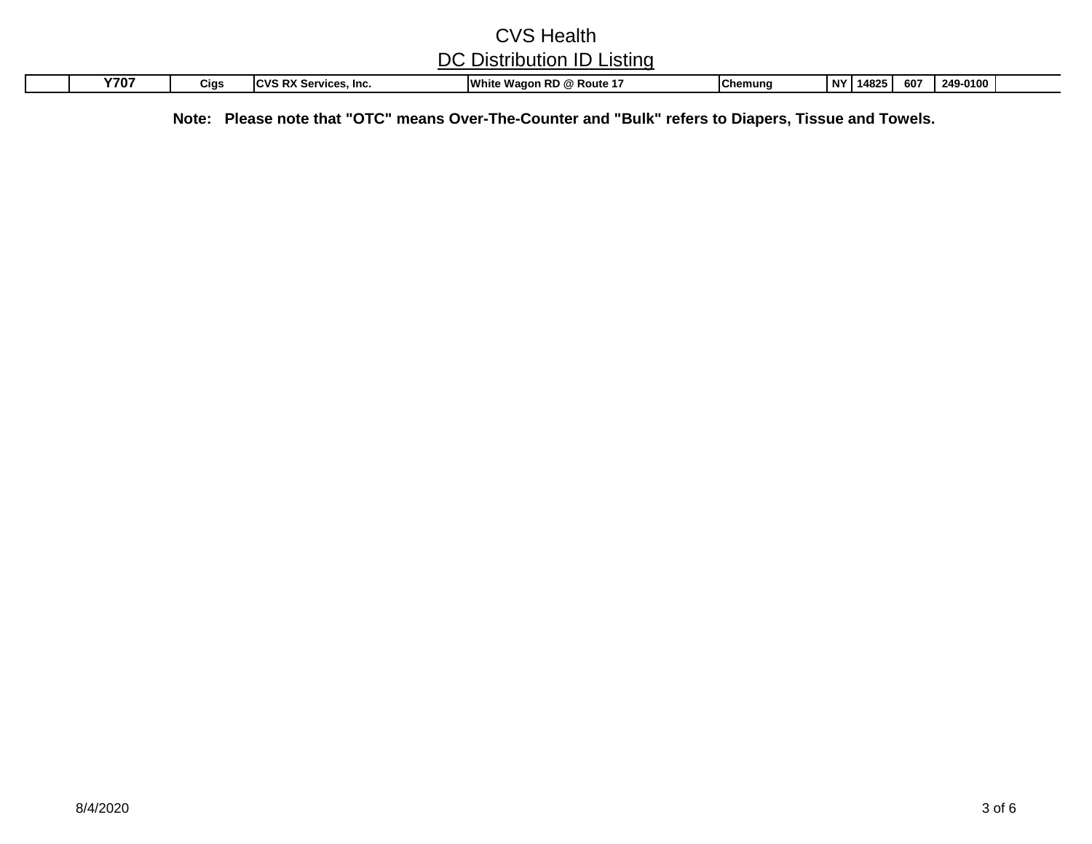| Y70. | Cias | DV C.<br>$\sim$<br>Inc.<br>$\sum$<br>VILCS<br>. <b>.</b><br>RА | White v.<br><br><b>RD</b><br>Rou<br>vagon ' | lChemuna | N' | 14825 | 607 | 249-0100 |  |
|------|------|----------------------------------------------------------------|---------------------------------------------|----------|----|-------|-----|----------|--|

**Note: Please note that "OTC" means Over-The-Counter and "Bulk" refers to Diapers, Tissue and Towels.**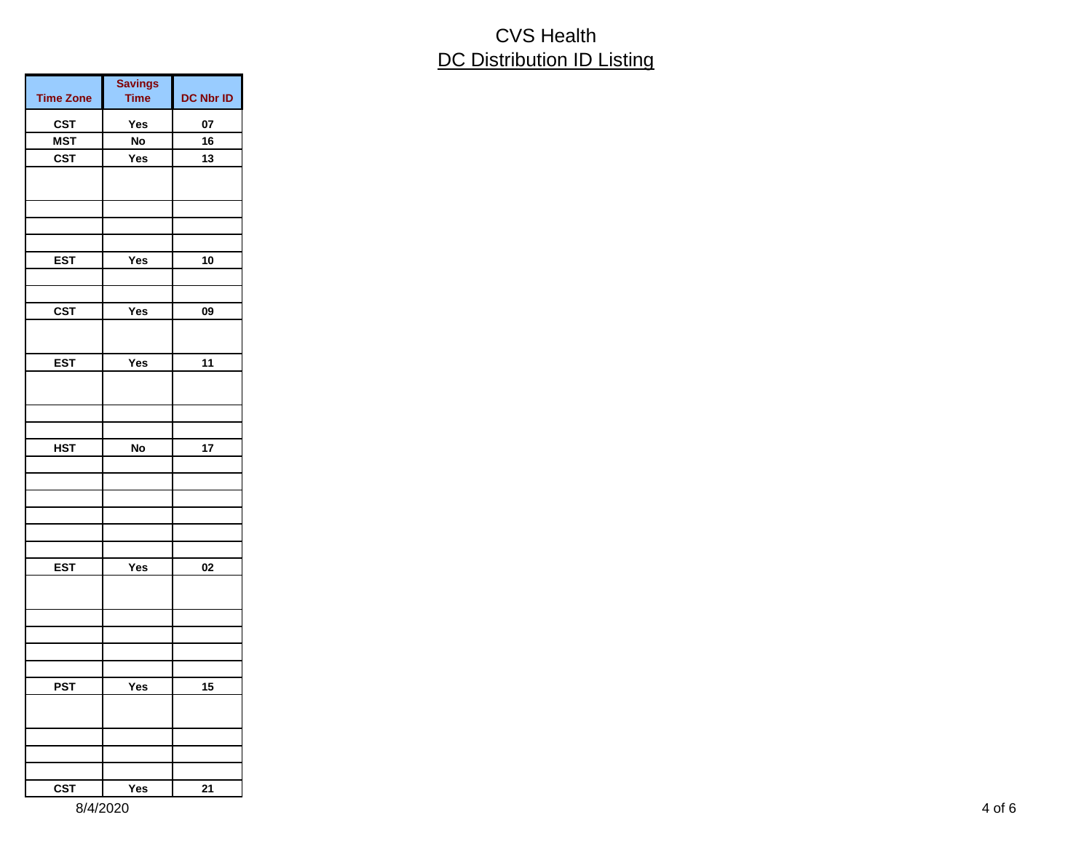| <b>Savings</b><br><b>Time</b> | <b>DC Nbr ID</b>                            |
|-------------------------------|---------------------------------------------|
|                               | 07                                          |
|                               | 16                                          |
|                               | 13                                          |
|                               |                                             |
|                               |                                             |
|                               |                                             |
| Yes                           | 10                                          |
|                               |                                             |
|                               |                                             |
|                               | 09                                          |
|                               |                                             |
| Yes                           | 11                                          |
|                               |                                             |
|                               |                                             |
|                               |                                             |
|                               | 17                                          |
|                               |                                             |
|                               |                                             |
|                               |                                             |
|                               |                                             |
|                               |                                             |
|                               | 02                                          |
|                               |                                             |
|                               |                                             |
|                               |                                             |
|                               |                                             |
|                               |                                             |
|                               | 15                                          |
|                               |                                             |
|                               |                                             |
|                               |                                             |
| Yes                           | 21                                          |
|                               | Yes<br>No<br>Yes<br>Yes<br>No<br>Yes<br>Yes |